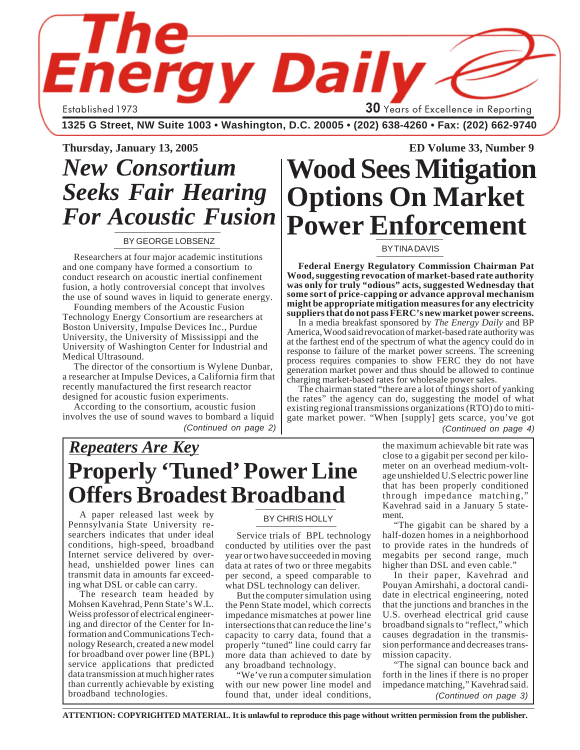Established 1973 **30** Years of Excellence in Reporting

**1325 G Street, NW Suite 1003 • Washington, D.C. 20005 • (202) 638-4260 • Fax: (202) 662-9740**

**THE ENERGY DAILY** *Thursday, January 13, 2005* **1**

# *New Consortium Seeks Fair Hearing For Acoustic Fusion*

#### BY GEORGE LOBSENZ

Researchers at four major academic institutions and one company have formed a consortium to conduct research on acoustic inertial confinement fusion, a hotly controversial concept that involves the use of sound waves in liquid to generate energy.

Founding members of the Acoustic Fusion Technology Energy Consortium are researchers at Boston University, Impulse Devices Inc., Purdue University, the University of Mississippi and the University of Washington Center for Industrial and Medical Ultrasound.

The director of the consortium is Wylene Dunbar, a researcher at Impulse Devices, a California firm that recently manufactured the first research reactor designed for acoustic fusion experiments.

According to the consortium, acoustic fusion involves the use of sound waves to bombard a liquid *(Continued on page 2)*

## **Thursday, January 13, 2005 ED Volume 33, Number 9 Wood Sees Mitigation Options On Market Power Enforcement**

#### BY TINA DAVIS

**Federal Energy Regulatory Commission Chairman Pat Wood, suggesting revocation of market-based rate authority was only for truly "odious" acts, suggested Wednesday that some sort of price-capping or advance approval mechanism might be appropriate mitigation measures for any electricity suppliers that do not pass FERC's new market power screens.**

In a media breakfast sponsored by *The Energy Daily* and BP America, Wood said revocation of market-based rate authority was at the farthest end of the spectrum of what the agency could do in response to failure of the market power screens. The screening process requires companies to show FERC they do not have generation market power and thus should be allowed to continue charging market-based rates for wholesale power sales.

The chairman stated "there are a lot of things short of yanking the rates" the agency can do, suggesting the model of what existing regional transmissions organizations (RTO) do to mitigate market power. "When [supply] gets scarce, you've got

*(Continued on page 4)*

## *Repeaters Are Key* **Properly 'Tuned' Power Line Offers Broadest Broadband**

A paper released last week by Pennsylvania State University researchers indicates that under ideal conditions, high-speed, broadband Internet service delivered by overhead, unshielded power lines can transmit data in amounts far exceeding what DSL or cable can carry.

The research team headed by Mohsen Kavehrad, Penn State's W.L. Weiss professor of electrical engineering and director of the Center for Information and Communications Technology Research, created a new model for broadband over power line (BPL) service applications that predicted data transmission at much higher rates than currently achievable by existing broadband technologies.

#### BY CHRIS HOLLY

Service trials of BPL technology conducted by utilities over the past year or two have succeeded in moving data at rates of two or three megabits per second, a speed comparable to what DSL technology can deliver.

But the computer simulation using the Penn State model, which corrects impedance mismatches at power line intersections that can reduce the line's capacity to carry data, found that a properly "tuned" line could carry far more data than achieved to date by any broadband technology.

"We've run a computer simulation with our new power line model and found that, under ideal conditions,

the maximum achievable bit rate was close to a gigabit per second per kilometer on an overhead medium-voltage unshielded U.S electric power line that has been properly conditioned through impedance matching," Kavehrad said in a January 5 statement.

"The gigabit can be shared by a half-dozen homes in a neighborhood to provide rates in the hundreds of megabits per second range, much higher than DSL and even cable."

In their paper, Kavehrad and Pouyan Amirshahi, a doctoral candidate in electrical engineering, noted that the junctions and branches in the U.S. overhead electrical grid cause broadband signals to "reflect," which causes degradation in the transmission performance and decreases transmission capacity.

"The signal can bounce back and forth in the lines if there is no proper impedance matching," Kavehrad said. *(Continued on page 3)*